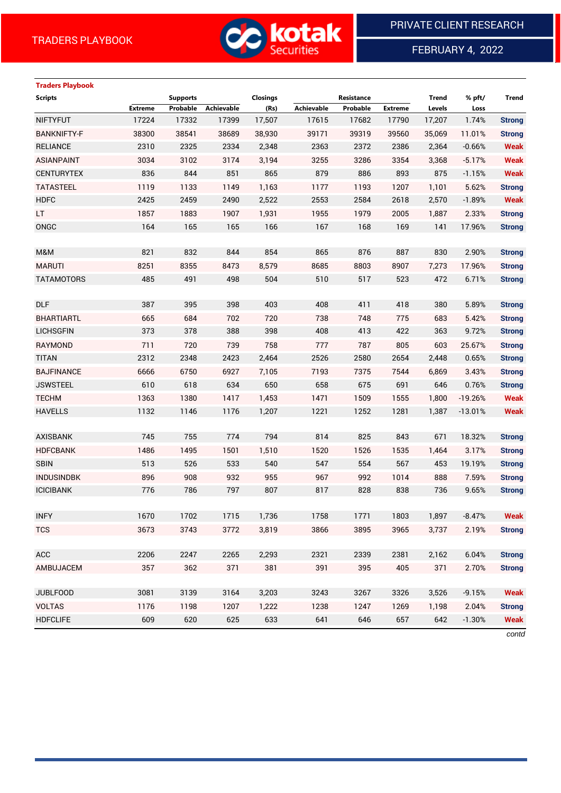

FEBRUARY 4, 2022

# **Traders Playbook**

| <b>Scripts</b>     |                | <b>Supports</b> |                   | Closings |            | Resistance |                | <b>Trend</b> | % pft/    | Trend         |
|--------------------|----------------|-----------------|-------------------|----------|------------|------------|----------------|--------------|-----------|---------------|
|                    | <b>Extreme</b> | Probable        | <b>Achievable</b> | (Rs)     | Achievable | Probable   | <b>Extreme</b> | Levels       | Loss      |               |
| <b>NIFTYFUT</b>    | 17224          | 17332           | 17399             | 17,507   | 17615      | 17682      | 17790          | 17,207       | 1.74%     | <b>Strong</b> |
| <b>BANKNIFTY-F</b> | 38300          | 38541           | 38689             | 38,930   | 39171      | 39319      | 39560          | 35,069       | 11.01%    | <b>Strong</b> |
| <b>RELIANCE</b>    | 2310           | 2325            | 2334              | 2,348    | 2363       | 2372       | 2386           | 2,364        | $-0.66%$  | <b>Weak</b>   |
| <b>ASIANPAINT</b>  | 3034           | 3102            | 3174              | 3,194    | 3255       | 3286       | 3354           | 3,368        | $-5.17%$  | <b>Weak</b>   |
| <b>CENTURYTEX</b>  | 836            | 844             | 851               | 865      | 879        | 886        | 893            | 875          | $-1.15%$  | <b>Weak</b>   |
| <b>TATASTEEL</b>   | 1119           | 1133            | 1149              | 1,163    | 1177       | 1193       | 1207           | 1,101        | 5.62%     | <b>Strong</b> |
| <b>HDFC</b>        | 2425           | 2459            | 2490              | 2,522    | 2553       | 2584       | 2618           | 2,570        | $-1.89%$  | <b>Weak</b>   |
| LT                 | 1857           | 1883            | 1907              | 1,931    | 1955       | 1979       | 2005           | 1,887        | 2.33%     | <b>Strong</b> |
| ONGC               | 164            | 165             | 165               | 166      | 167        | 168        | 169            | 141          | 17.96%    | <b>Strong</b> |
|                    |                |                 |                   |          |            |            |                |              |           |               |
| M&M                | 821            | 832             | 844               | 854      | 865        | 876        | 887            | 830          | 2.90%     | <b>Strong</b> |
| <b>MARUTI</b>      | 8251           | 8355            | 8473              | 8,579    | 8685       | 8803       | 8907           | 7,273        | 17.96%    | <b>Strong</b> |
| <b>TATAMOTORS</b>  | 485            | 491             | 498               | 504      | 510        | 517        | 523            | 472          | 6.71%     | <b>Strong</b> |
|                    |                |                 |                   |          |            |            |                |              |           |               |
| <b>DLF</b>         | 387            | 395             | 398               | 403      | 408        | 411        | 418            | 380          | 5.89%     | <b>Strong</b> |
| <b>BHARTIARTL</b>  | 665            | 684             | 702               | 720      | 738        | 748        | 775            | 683          | 5.42%     | <b>Strong</b> |
| <b>LICHSGFIN</b>   | 373            | 378             | 388               | 398      | 408        | 413        | 422            | 363          | 9.72%     | <b>Strong</b> |
| RAYMOND            | 711            | 720             | 739               | 758      | 777        | 787        | 805            | 603          | 25.67%    | <b>Strong</b> |
| <b>TITAN</b>       | 2312           | 2348            | 2423              | 2,464    | 2526       | 2580       | 2654           | 2,448        | 0.65%     | <b>Strong</b> |
| <b>BAJFINANCE</b>  | 6666           | 6750            | 6927              | 7,105    | 7193       | 7375       | 7544           | 6,869        | 3.43%     | <b>Strong</b> |
| <b>JSWSTEEL</b>    | 610            | 618             | 634               | 650      | 658        | 675        | 691            | 646          | 0.76%     | <b>Strong</b> |
| <b>TECHM</b>       | 1363           | 1380            | 1417              | 1,453    | 1471       | 1509       | 1555           | 1,800        | $-19.26%$ | <b>Weak</b>   |
| <b>HAVELLS</b>     | 1132           | 1146            | 1176              | 1,207    | 1221       | 1252       | 1281           | 1,387        | $-13.01%$ | <b>Weak</b>   |
|                    |                |                 |                   |          |            |            |                |              |           |               |
| <b>AXISBANK</b>    | 745            | 755             | 774               | 794      | 814        | 825        | 843            | 671          | 18.32%    | <b>Strong</b> |
| <b>HDFCBANK</b>    | 1486           | 1495            | 1501              | 1,510    | 1520       | 1526       | 1535           | 1,464        | 3.17%     | <b>Strong</b> |
| <b>SBIN</b>        | 513            | 526             | 533               | 540      | 547        | 554        | 567            | 453          | 19.19%    | <b>Strong</b> |
| <b>INDUSINDBK</b>  | 896            | 908             | 932               | 955      | 967        | 992        | 1014           | 888          | 7.59%     | <b>Strong</b> |
| <b>ICICIBANK</b>   | 776            | 786             | 797               | 807      | 817        | 828        | 838            | 736          | 9.65%     | <b>Strong</b> |
|                    |                |                 |                   |          |            |            |                |              |           |               |
| <b>INFY</b>        | 1670           | 1702            | 1715              | 1,736    | 1758       | 1771       | 1803           | 1,897        | $-8.47%$  | <b>Weak</b>   |
| <b>TCS</b>         | 3673           | 3743            | 3772              | 3,819    | 3866       | 3895       | 3965           | 3,737        | 2.19%     | <b>Strong</b> |
|                    |                |                 |                   |          |            |            |                |              |           |               |
| ACC                | 2206           | 2247            | 2265              | 2,293    | 2321       | 2339       | 2381           | 2,162        | 6.04%     | <b>Strong</b> |
| AMBUJACEM          | 357            | 362             | 371               | 381      | 391        | 395        | 405            | 371          | 2.70%     | <b>Strong</b> |
|                    |                |                 |                   |          |            |            |                |              |           |               |
| <b>JUBLFOOD</b>    | 3081           | 3139            | 3164              | 3,203    | 3243       | 3267       | 3326           | 3,526        | $-9.15%$  | <b>Weak</b>   |
| <b>VOLTAS</b>      | 1176           | 1198            | 1207              | 1,222    | 1238       | 1247       | 1269           | 1,198        | 2.04%     | <b>Strong</b> |
| <b>HDFCLIFE</b>    | 609            | 620             | 625               | 633      | 641        | 646        | 657            | 642          | $-1.30%$  | <b>Weak</b>   |

*contd*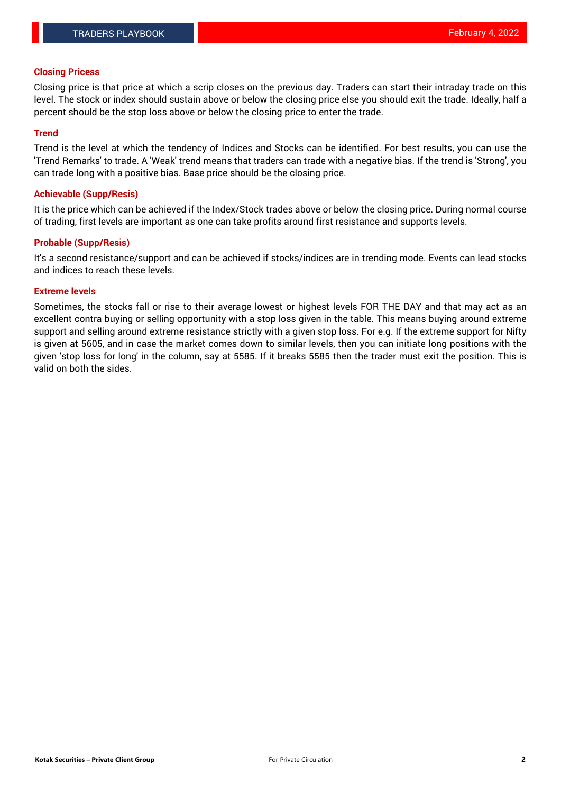## **Closing Pricess**

Closing price is that price at which a scrip closes on the previous day. Traders can start their intraday trade on this level. The stock or index should sustain above or below the closing price else you should exit the trade. Ideally, half a percent should be the stop loss above or below the closing price to enter the trade.

## **Trend**

Trend is the level at which the tendency of Indices and Stocks can be identified. For best results, you can use the 'Trend Remarks' to trade. A 'Weak' trend means that traders can trade with a negative bias. If the trend is 'Strong', you can trade long with a positive bias. Base price should be the closing price.

## **Achievable (Supp/Resis)**

It is the price which can be achieved if the Index/Stock trades above or below the closing price. During normal course of trading, first levels are important as one can take profits around first resistance and supports levels.

# **Probable (Supp/Resis)**

It's a second resistance/support and can be achieved if stocks/indices are in trending mode. Events can lead stocks and indices to reach these levels.

#### **Extreme levels**

Sometimes, the stocks fall or rise to their average lowest or highest levels FOR THE DAY and that may act as an excellent contra buying or selling opportunity with a stop loss given in the table. This means buying around extreme support and selling around extreme resistance strictly with a given stop loss. For e.g. If the extreme support for Nifty is given at 5605, and in case the market comes down to similar levels, then you can initiate long positions with the given 'stop loss for long' in the column, say at 5585. If it breaks 5585 then the trader must exit the position. This is valid on both the sides.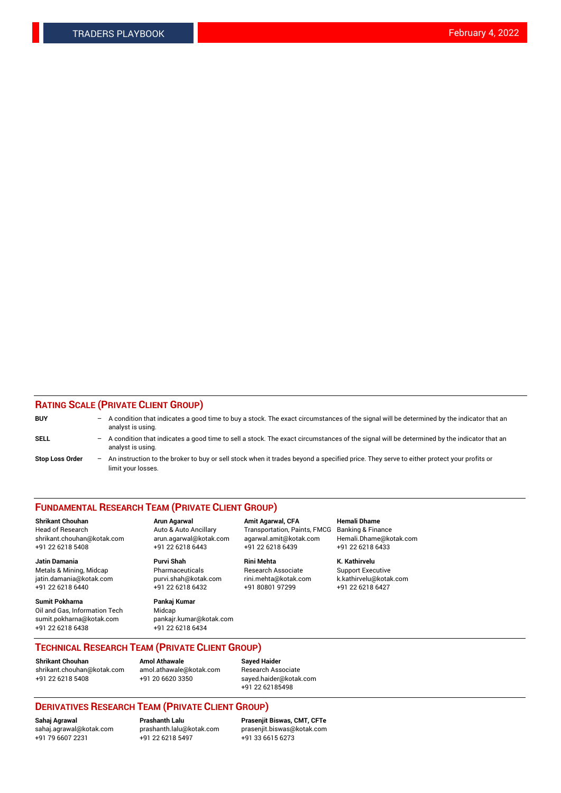# **RATING SCALE (PRIVATE CLIENT GROUP)**

| <b>BUY</b>             | $-$ | A condition that indicates a good time to buy a stock. The exact circumstances of the signal will be determined by the indicator that an<br>analyst is using.    |
|------------------------|-----|------------------------------------------------------------------------------------------------------------------------------------------------------------------|
| <b>SELL</b>            |     | - A condition that indicates a good time to sell a stock. The exact circumstances of the signal will be determined by the indicator that an<br>analyst is using. |
| <b>Stop Loss Order</b> | $-$ | An instruction to the broker to buy or sell stock when it trades beyond a specified price. They serve to either protect your profits or<br>limit your losses.    |

#### **FUNDAMENTAL RESEARCH TEAM (PRIVATE CLIENT GROUP)**

Head of Research Auto & Auto Ancillary Transportation, Paints, FMCG Banking & Finance shrikant.chouhan@kotak.com arun.agarwal@kotak.com agarwal.amit@kotak.com Hemali.Dhame@kotak.com +91 22 6218 5408 +91 22 6218 6443 +91 22 6218 6439 +91 22 6218 6433

**Jatin Damania Purvi Shah Rini Mehta K. Kathirvelu** Metals & Mining, Midcap **Pharmaceuticals** Research Associate Support Executive jatin.damania@kotak.com [purvi.shah@kotak.com](mailto:purvi.shah@kotak.com) rini.mehta@kotak.com [k.kathirvelu@kotak.com](mailto:k.kathirvelu@kotak.com)  $+91$  22 6218 6440  $+91$  22 6218 6432

**Sumit Pokharna Pankaj Kumar** Oil and Gas, Information Tech Midcap sumit.pokharna@kotak.com pankajr.kumar@kotak.com +91 22 6218 6438 +91 22 6218 6434

**Shrikant Chouhan Arun Agarwal Amit Agarwal, CFA Hemali Dhame**

**TECHNICAL RESEARCH TEAM (PRIVATE CLIENT GROUP)**

**Shrikant Chouhan Amol Athawale Sayed Haider**<br>shrikant.chouhan@kotak.com amol.athawale@kotak.com Research Ass [shrikant.chouhan@kotak.com](mailto:shrikant.chouhan@kotak.com) [amol.athawale@kotak.com](mailto:amol.athawale@kotak.com) Research Associate +91 22 6218 5408 +91 20 6620 3350 [sayed.haider@kotak.com](mailto:sayed.haider@kotak.com)

+91 22 62185498

# **DERIVATIVES RESEARCH TEAM (PRIVATE CLIENT GROUP)**

 $+91$  22 6218 5497

**Sahaj Agrawal Prashanth Lalu Prasenjit Biswas, CMT, CFTe** [sahaj.agrawal@kotak.com](mailto:sahaj.agrawal@kotak.com) [prashanth.lalu@kotak.com](mailto:prashanth.lalu@kotak.com) [prasenjit.biswas@kotak.com](mailto:prasenjit.biswas@kotak.com)